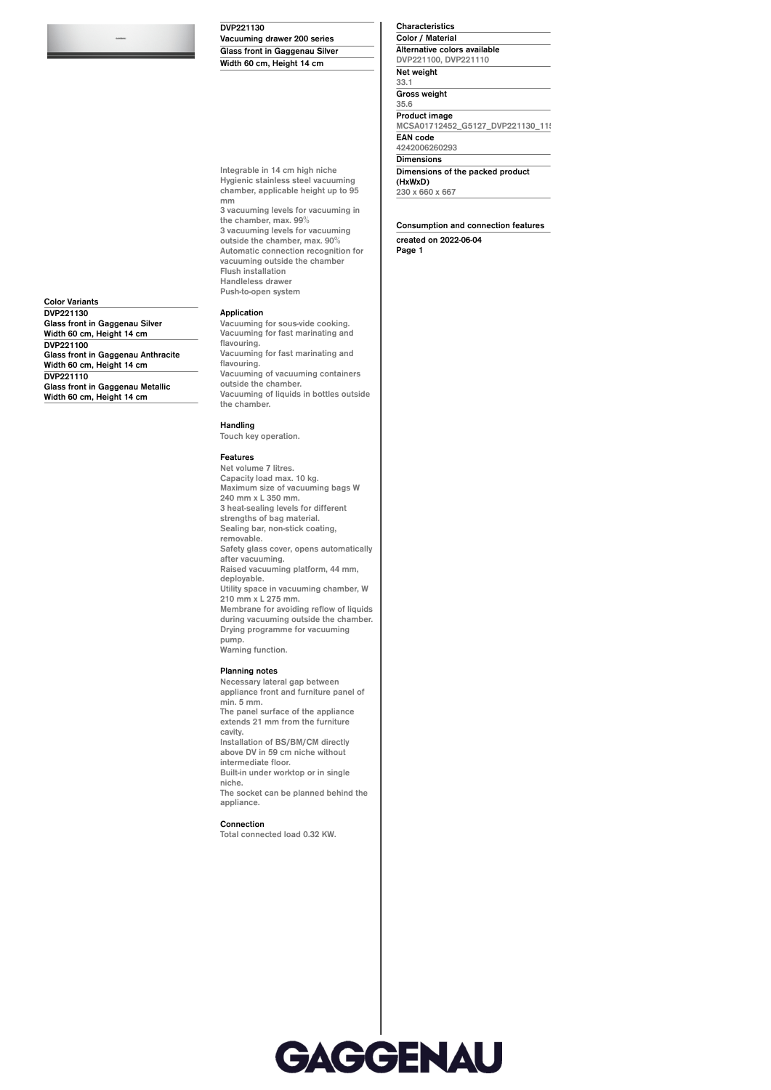**DVP221130**

**Vacuuming drawer 200 series Glass front in Gaggenau Silver Width 60 cm, Height 14 cm**

**Integrable in 14 cm high niche Hygienic stainless steel vacuuming chamber, applicable height up to 95**

**the chamber, max. 99% 3 vacuuming levels for vacuuming outside the chamber, max. 90% Automatic connection recognition for vacuuming outside the chamber**

**Flush installation Handleless drawer Push-to-open system**

**3 vacuuming levels for vacuuming in**

**Characteristics Color / Material Alternative colors available DVP221100, DVP221110 Net weight 33.1 Gross weight 35.6 Product image** MCSA01712452\_G5127\_DVP221130\_11 **EAN code 4242006260293 Dimensions Dimensions of the packed product (HxWxD) 230 x 660 x 667**

**Consumption and connection features created on 2022-06-04 Page 1**

**Color Variants DVP221130 Glass front in Gaggenau Silver Width 60 cm, Height 14 cm DVP221100 Glass front in Gaggenau Anthracite Width 60 cm, Height 14 cm DVP221110 Glass front in Gaggenau Metallic Width 60 cm, Height 14 cm**

## **Vacuuming for fast marinating and**

**Application**

**mm**

**flavouring. Vacuuming for fast marinating and flavouring. Vacuuming of vacuuming containers outside the chamber. Vacuuming of liquids in bottles outside the chamber.**

**Vacuuming for sous-vide cooking.**

## **Handling**

**Touch key operation.**

## **Features**

**Net volume 7 litres. Capacity load max. 10 kg. Maximum size of vacuuming bags W 240 mm x L 350 mm. 3 heat-sealing levels for different strengths of bag material. Sealing bar, non-stick coating, removable. Safety glass cover, opens automatically after vacuuming. Raised vacuuming platform, 44 mm, deployable. Utility space in vacuuming chamber, W 210 mm x L 275 mm. Membrane for avoiding reflow of liquids during vacuuming outside the chamber. Drying programme for vacuuming pump. Warning function.**

## **Planning notes**

**Necessary lateral gap between appliance front and furniture panel of min. 5 mm. The panel surface of the appliance extends 21 mm from the furniture cavity. Installation of BS/BM/CM directly above DV in 59 cm niche without intermediate floor. Built-in under worktop or in single niche. The socket can be planned behind the appliance. Connection Total connected load 0.32 KW.**